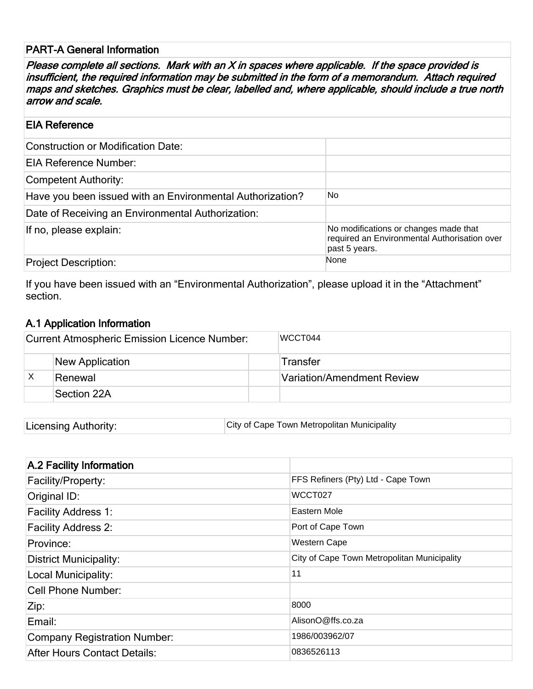### PART-A General Information

Please complete all sections. Mark with an X in spaces where applicable. If the space provided is insufficient, the required information may be submitted in the form of a memorandum. Attach required maps and sketches. Graphics must be clear, labelled and, where applicable, should include a true north arrow and scale.

#### EIA Reference

| <b>Construction or Modification Date:</b>                 |                                                                                                        |
|-----------------------------------------------------------|--------------------------------------------------------------------------------------------------------|
| EIA Reference Number:                                     |                                                                                                        |
| Competent Authority:                                      |                                                                                                        |
| Have you been issued with an Environmental Authorization? | No.                                                                                                    |
| Date of Receiving an Environmental Authorization:         |                                                                                                        |
| If no, please explain:                                    | No modifications or changes made that<br>required an Environmental Authorisation over<br>past 5 years. |
| <b>Project Description:</b>                               | None                                                                                                   |

If you have been issued with an "Environmental Authorization", please upload it in the "Attachment" section.

## A.1 Application Information

| <b>Current Atmospheric Emission Licence Number:</b> | WCCT044                    |
|-----------------------------------------------------|----------------------------|
| <b>New Application</b>                              | <b>Transfer</b>            |
| Renewal                                             | Variation/Amendment Review |
| Section 22A                                         |                            |

| City of Cape Town Metropolitan Municipality<br>Licensing Authority: |  |
|---------------------------------------------------------------------|--|
|---------------------------------------------------------------------|--|

| A.2 Facility Information            |                                             |
|-------------------------------------|---------------------------------------------|
| Facility/Property:                  | FFS Refiners (Pty) Ltd - Cape Town          |
| Original ID:                        | WCCT027                                     |
| <b>Facility Address 1:</b>          | Eastern Mole                                |
| <b>Facility Address 2:</b>          | Port of Cape Town                           |
| Province:                           | Western Cape                                |
| <b>District Municipality:</b>       | City of Cape Town Metropolitan Municipality |
| Local Municipality:                 | 11                                          |
| Cell Phone Number:                  |                                             |
| Zip:                                | 8000                                        |
| Email:                              | AlisonO@ffs.co.za                           |
| <b>Company Registration Number:</b> | 1986/003962/07                              |
| <b>After Hours Contact Details:</b> | 0836526113                                  |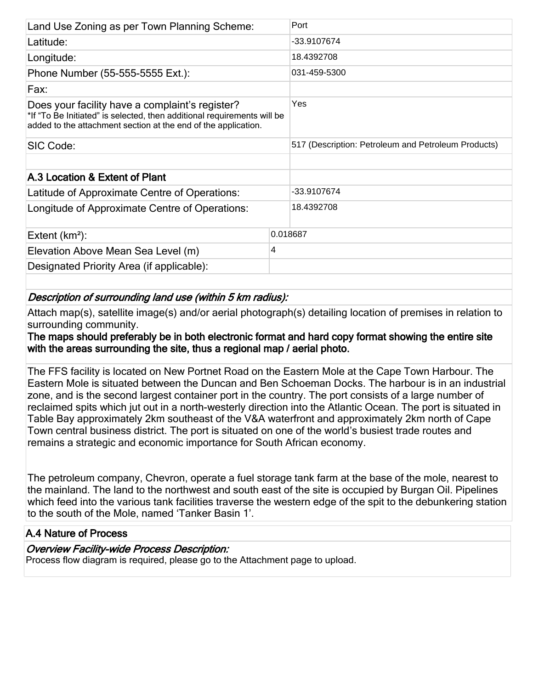| Land Use Zoning as per Town Planning Scheme:                                                                                                                                                 | Port                                                |  |
|----------------------------------------------------------------------------------------------------------------------------------------------------------------------------------------------|-----------------------------------------------------|--|
| Latitude:                                                                                                                                                                                    | -33.9107674                                         |  |
| Longitude:                                                                                                                                                                                   | 18.4392708                                          |  |
| Phone Number (55-555-5555 Ext.):                                                                                                                                                             | 031-459-5300                                        |  |
| Fax:                                                                                                                                                                                         |                                                     |  |
| Does your facility have a complaint's register?<br>*If "To Be Initiated" is selected, then additional requirements will be<br>added to the attachment section at the end of the application. | Yes                                                 |  |
| SIC Code:                                                                                                                                                                                    | 517 (Description: Petroleum and Petroleum Products) |  |
| A.3 Location & Extent of Plant                                                                                                                                                               |                                                     |  |
|                                                                                                                                                                                              |                                                     |  |
| Latitude of Approximate Centre of Operations:                                                                                                                                                | -33.9107674                                         |  |
| Longitude of Approximate Centre of Operations:                                                                                                                                               | 18.4392708                                          |  |
| Extent $(km^2)$ :                                                                                                                                                                            | 0.018687                                            |  |
| 4<br>Elevation Above Mean Sea Level (m)                                                                                                                                                      |                                                     |  |
| Designated Priority Area (if applicable):                                                                                                                                                    |                                                     |  |

## Description of surrounding land use (within 5 km radius):

Attach map(s), satellite image(s) and/or aerial photograph(s) detailing location of premises in relation to surrounding community.

The maps should preferably be in both electronic format and hard copy format showing the entire site with the areas surrounding the site, thus a regional map / aerial photo.

The FFS facility is located on New Portnet Road on the Eastern Mole at the Cape Town Harbour. The Eastern Mole is situated between the Duncan and Ben Schoeman Docks. The harbour is in an industrial zone, and is the second largest container port in the country. The port consists of a large number of reclaimed spits which jut out in a north-westerly direction into the Atlantic Ocean. The port is situated in Table Bay approximately 2km southeast of the V&A waterfront and approximately 2km north of Cape Town central business district. The port is situated on one of the world's busiest trade routes and remains a strategic and economic importance for South African economy.

The petroleum company, Chevron, operate a fuel storage tank farm at the base of the mole, nearest to the mainland. The land to the northwest and south east of the site is occupied by Burgan Oil. Pipelines which feed into the various tank facilities traverse the western edge of the spit to the debunkering station to the south of the Mole, named 'Tanker Basin 1'.

## A.4 Nature of Process

#### Overview Facility-wide Process Description:

Process flow diagram is required, please go to the Attachment page to upload.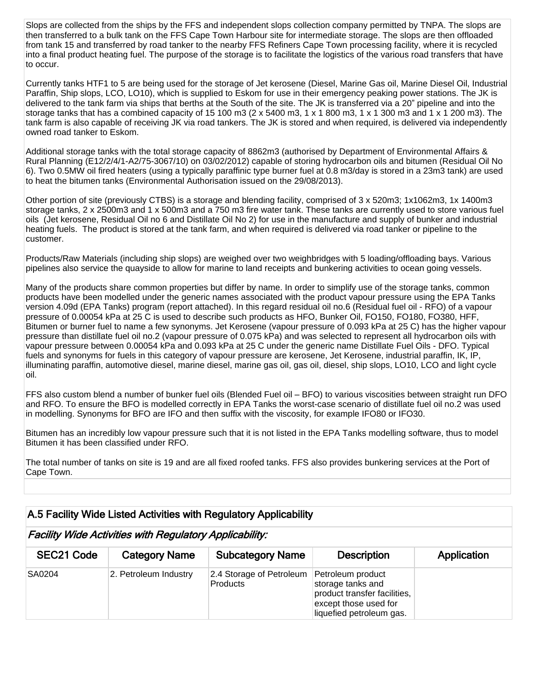Slops are collected from the ships by the FFS and independent slops collection company permitted by TNPA. The slops are then transferred to a bulk tank on the FFS Cape Town Harbour site for intermediate storage. The slops are then offloaded from tank 15 and transferred by road tanker to the nearby FFS Refiners Cape Town processing facility, where it is recycled into a final product heating fuel. The purpose of the storage is to facilitate the logistics of the various road transfers that have to occur.

Currently tanks HTF1 to 5 are being used for the storage of Jet kerosene (Diesel, Marine Gas oil, Marine Diesel Oil, Industrial Paraffin, Ship slops, LCO, LO10), which is supplied to Eskom for use in their emergency peaking power stations. The JK is delivered to the tank farm via ships that berths at the South of the site. The JK is transferred via a 20" pipeline and into the storage tanks that has a combined capacity of 15 100 m3 (2 x 5400 m3, 1 x 1 800 m3, 1 x 1 300 m3 and 1 x 1 200 m3). The tank farm is also capable of receiving JK via road tankers. The JK is stored and when required, is delivered via independently owned road tanker to Eskom.

Additional storage tanks with the total storage capacity of 8862m3 (authorised by Department of Environmental Affairs & Rural Planning (E12/2/4/1-A2/75-3067/10) on 03/02/2012) capable of storing hydrocarbon oils and bitumen (Residual Oil No 6). Two 0.5MW oil fired heaters (using a typically paraffinic type burner fuel at 0.8 m3/day is stored in a 23m3 tank) are used to heat the bitumen tanks (Environmental Authorisation issued on the 29/08/2013).

Other portion of site (previously CTBS) is a storage and blending facility, comprised of 3 x 520m3; 1x1062m3, 1x 1400m3 storage tanks, 2 x 2500m3 and 1 x 500m3 and a 750 m3 fire water tank. These tanks are currently used to store various fuel oils (Jet kerosene, Residual Oil no 6 and Distillate Oil No 2) for use in the manufacture and supply of bunker and industrial heating fuels. The product is stored at the tank farm, and when required is delivered via road tanker or pipeline to the customer.

Products/Raw Materials (including ship slops) are weighed over two weighbridges with 5 loading/offloading bays. Various pipelines also service the quayside to allow for marine to land receipts and bunkering activities to ocean going vessels.

Many of the products share common properties but differ by name. In order to simplify use of the storage tanks, common products have been modelled under the generic names associated with the product vapour pressure using the EPA Tanks version 4.09d (EPA Tanks) program (report attached). In this regard residual oil no.6 (Residual fuel oil - RFO) of a vapour pressure of 0.00054 kPa at 25 C is used to describe such products as HFO, Bunker Oil, FO150, FO180, FO380, HFF, Bitumen or burner fuel to name a few synonyms. Jet Kerosene (vapour pressure of 0.093 kPa at 25 C) has the higher vapour pressure than distillate fuel oil no.2 (vapour pressure of 0.075 kPa) and was selected to represent all hydrocarbon oils with vapour pressure between 0.00054 kPa and 0.093 kPa at 25 C under the generic name Distillate Fuel Oils - DFO. Typical fuels and synonyms for fuels in this category of vapour pressure are kerosene, Jet Kerosene, industrial paraffin, IK, IP, illuminating paraffin, automotive diesel, marine diesel, marine gas oil, gas oil, diesel, ship slops, LO10, LCO and light cycle oil.

FFS also custom blend a number of bunker fuel oils (Blended Fuel oil – BFO) to various viscosities between straight run DFO and RFO. To ensure the BFO is modelled correctly in EPA Tanks the worst-case scenario of distillate fuel oil no.2 was used in modelling. Synonyms for BFO are IFO and then suffix with the viscosity, for example IFO80 or IFO30.

Bitumen has an incredibly low vapour pressure such that it is not listed in the EPA Tanks modelling software, thus to model Bitumen it has been classified under RFO.

The total number of tanks on site is 19 and are all fixed roofed tanks. FFS also provides bunkering services at the Port of Cape Town.

#### A.5 Facility Wide Listed Activities with Regulatory Applicability

Facility Wide Activities with Regulatory Applicability:

| SEC21 Code    | <b>Category Name</b>  | <b>Subcategory Name</b>              | <b>Description</b>                                                                                                          | Application |
|---------------|-----------------------|--------------------------------------|-----------------------------------------------------------------------------------------------------------------------------|-------------|
| <b>SA0204</b> | 2. Petroleum Industry | 2.4 Storage of Petroleum<br>Products | Petroleum product<br>storage tanks and<br>product transfer facilities,<br>except those used for<br>liquefied petroleum gas. |             |